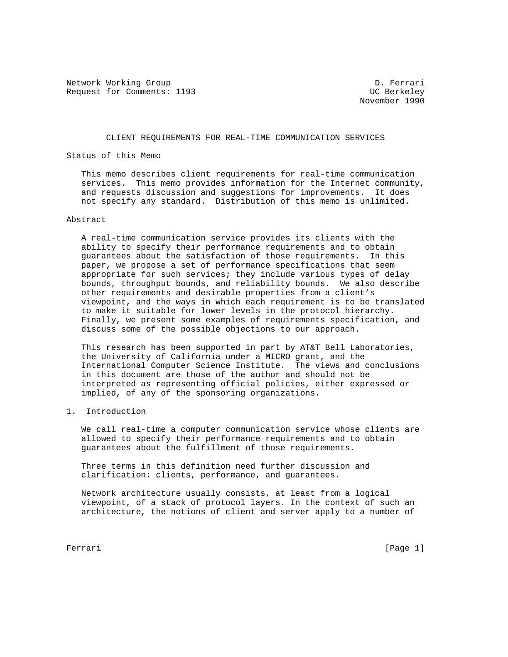Network Working Group D. Ferrari Request for Comments: 1193 and the comments of the comments of the control of the control of the control of the control of the control of the control of the control of the control of the control of the control of the contr

November 1990

#### CLIENT REQUIREMENTS FOR REAL-TIME COMMUNICATION SERVICES

Status of this Memo

 This memo describes client requirements for real-time communication services. This memo provides information for the Internet community, and requests discussion and suggestions for improvements. It does not specify any standard. Distribution of this memo is unlimited.

#### Abstract

 A real-time communication service provides its clients with the ability to specify their performance requirements and to obtain guarantees about the satisfaction of those requirements. In this paper, we propose a set of performance specifications that seem appropriate for such services; they include various types of delay bounds, throughput bounds, and reliability bounds. We also describe other requirements and desirable properties from a client's viewpoint, and the ways in which each requirement is to be translated to make it suitable for lower levels in the protocol hierarchy. Finally, we present some examples of requirements specification, and discuss some of the possible objections to our approach.

 This research has been supported in part by AT&T Bell Laboratories, the University of California under a MICRO grant, and the International Computer Science Institute. The views and conclusions in this document are those of the author and should not be interpreted as representing official policies, either expressed or implied, of any of the sponsoring organizations.

# 1. Introduction

 We call real-time a computer communication service whose clients are allowed to specify their performance requirements and to obtain guarantees about the fulfillment of those requirements.

 Three terms in this definition need further discussion and clarification: clients, performance, and guarantees.

 Network architecture usually consists, at least from a logical viewpoint, of a stack of protocol layers. In the context of such an architecture, the notions of client and server apply to a number of

Ferrari [Page 1]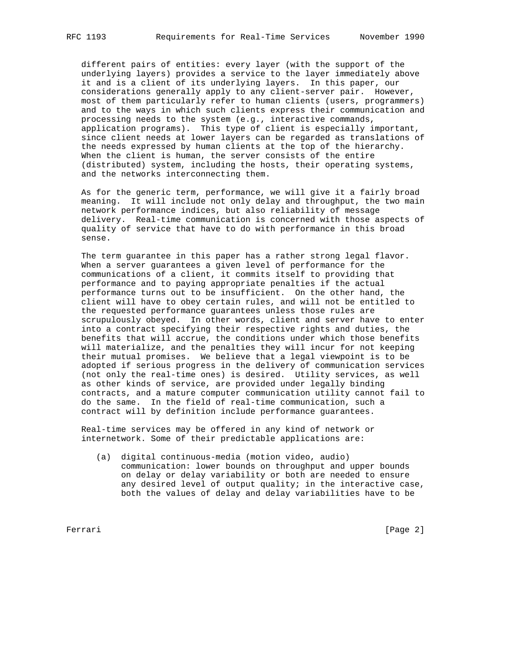different pairs of entities: every layer (with the support of the underlying layers) provides a service to the layer immediately above it and is a client of its underlying layers. In this paper, our considerations generally apply to any client-server pair. However, most of them particularly refer to human clients (users, programmers) and to the ways in which such clients express their communication and processing needs to the system (e.g., interactive commands, application programs). This type of client is especially important, since client needs at lower layers can be regarded as translations of the needs expressed by human clients at the top of the hierarchy. When the client is human, the server consists of the entire (distributed) system, including the hosts, their operating systems, and the networks interconnecting them.

 As for the generic term, performance, we will give it a fairly broad meaning. It will include not only delay and throughput, the two main network performance indices, but also reliability of message delivery. Real-time communication is concerned with those aspects of quality of service that have to do with performance in this broad sense.

 The term guarantee in this paper has a rather strong legal flavor. When a server guarantees a given level of performance for the communications of a client, it commits itself to providing that performance and to paying appropriate penalties if the actual performance turns out to be insufficient. On the other hand, the client will have to obey certain rules, and will not be entitled to the requested performance guarantees unless those rules are scrupulously obeyed. In other words, client and server have to enter into a contract specifying their respective rights and duties, the benefits that will accrue, the conditions under which those benefits will materialize, and the penalties they will incur for not keeping their mutual promises. We believe that a legal viewpoint is to be adopted if serious progress in the delivery of communication services (not only the real-time ones) is desired. Utility services, as well as other kinds of service, are provided under legally binding contracts, and a mature computer communication utility cannot fail to do the same. In the field of real-time communication, such a contract will by definition include performance guarantees.

 Real-time services may be offered in any kind of network or internetwork. Some of their predictable applications are:

 (a) digital continuous-media (motion video, audio) communication: lower bounds on throughput and upper bounds on delay or delay variability or both are needed to ensure any desired level of output quality; in the interactive case, both the values of delay and delay variabilities have to be

Ferrari [Page 2]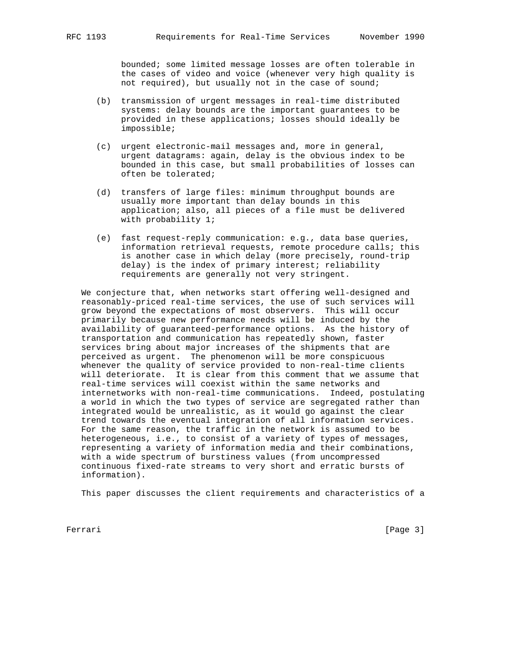bounded; some limited message losses are often tolerable in the cases of video and voice (whenever very high quality is not required), but usually not in the case of sound;

- (b) transmission of urgent messages in real-time distributed systems: delay bounds are the important guarantees to be provided in these applications; losses should ideally be impossible;
- (c) urgent electronic-mail messages and, more in general, urgent datagrams: again, delay is the obvious index to be bounded in this case, but small probabilities of losses can often be tolerated;
- (d) transfers of large files: minimum throughput bounds are usually more important than delay bounds in this application; also, all pieces of a file must be delivered with probability 1;
- (e) fast request-reply communication: e.g., data base queries, information retrieval requests, remote procedure calls; this is another case in which delay (more precisely, round-trip delay) is the index of primary interest; reliability requirements are generally not very stringent.

 We conjecture that, when networks start offering well-designed and reasonably-priced real-time services, the use of such services will grow beyond the expectations of most observers. This will occur primarily because new performance needs will be induced by the availability of guaranteed-performance options. As the history of transportation and communication has repeatedly shown, faster services bring about major increases of the shipments that are perceived as urgent. The phenomenon will be more conspicuous whenever the quality of service provided to non-real-time clients will deteriorate. It is clear from this comment that we assume that real-time services will coexist within the same networks and internetworks with non-real-time communications. Indeed, postulating a world in which the two types of service are segregated rather than integrated would be unrealistic, as it would go against the clear trend towards the eventual integration of all information services. For the same reason, the traffic in the network is assumed to be heterogeneous, i.e., to consist of a variety of types of messages, representing a variety of information media and their combinations, with a wide spectrum of burstiness values (from uncompressed continuous fixed-rate streams to very short and erratic bursts of information).

This paper discusses the client requirements and characteristics of a

Ferrari [Page 3]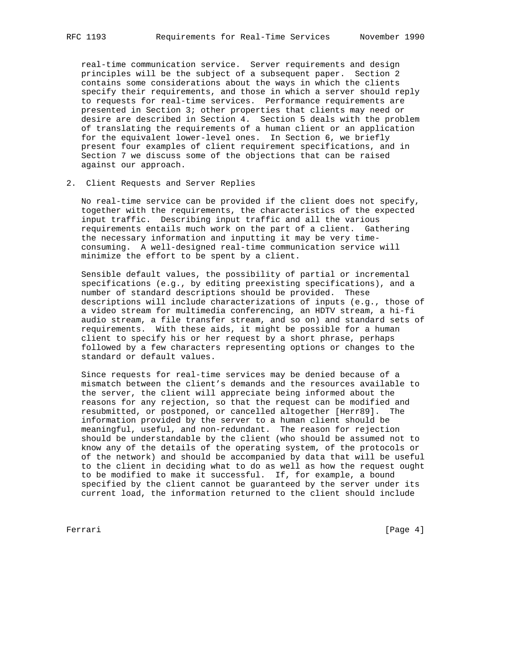real-time communication service. Server requirements and design principles will be the subject of a subsequent paper. Section 2 contains some considerations about the ways in which the clients specify their requirements, and those in which a server should reply to requests for real-time services. Performance requirements are presented in Section 3; other properties that clients may need or desire are described in Section 4. Section 5 deals with the problem of translating the requirements of a human client or an application for the equivalent lower-level ones. In Section 6, we briefly present four examples of client requirement specifications, and in Section 7 we discuss some of the objections that can be raised against our approach.

2. Client Requests and Server Replies

 No real-time service can be provided if the client does not specify, together with the requirements, the characteristics of the expected input traffic. Describing input traffic and all the various requirements entails much work on the part of a client. Gathering the necessary information and inputting it may be very time consuming. A well-designed real-time communication service will minimize the effort to be spent by a client.

 Sensible default values, the possibility of partial or incremental specifications (e.g., by editing preexisting specifications), and a number of standard descriptions should be provided. These descriptions will include characterizations of inputs (e.g., those of a video stream for multimedia conferencing, an HDTV stream, a hi-fi audio stream, a file transfer stream, and so on) and standard sets of requirements. With these aids, it might be possible for a human client to specify his or her request by a short phrase, perhaps followed by a few characters representing options or changes to the standard or default values.

 Since requests for real-time services may be denied because of a mismatch between the client's demands and the resources available to the server, the client will appreciate being informed about the reasons for any rejection, so that the request can be modified and resubmitted, or postponed, or cancelled altogether [Herr89]. The information provided by the server to a human client should be meaningful, useful, and non-redundant. The reason for rejection should be understandable by the client (who should be assumed not to know any of the details of the operating system, of the protocols or of the network) and should be accompanied by data that will be useful to the client in deciding what to do as well as how the request ought to be modified to make it successful. If, for example, a bound specified by the client cannot be guaranteed by the server under its current load, the information returned to the client should include

Ferrari [Page 4]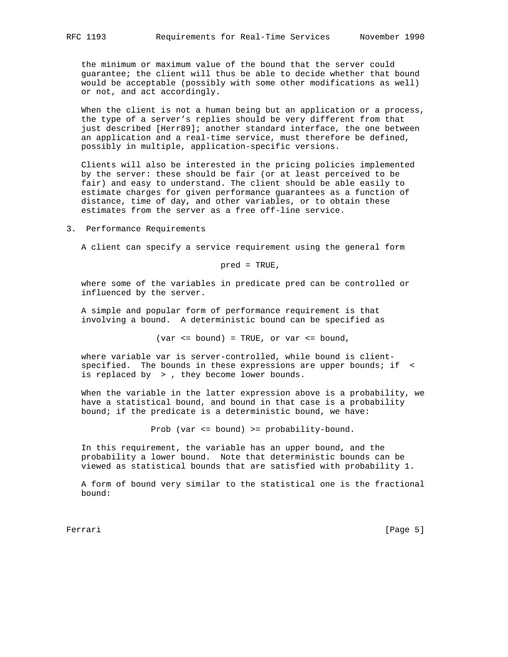the minimum or maximum value of the bound that the server could guarantee; the client will thus be able to decide whether that bound would be acceptable (possibly with some other modifications as well) or not, and act accordingly.

 When the client is not a human being but an application or a process, the type of a server's replies should be very different from that just described [Herr89]; another standard interface, the one between an application and a real-time service, must therefore be defined, possibly in multiple, application-specific versions.

 Clients will also be interested in the pricing policies implemented by the server: these should be fair (or at least perceived to be fair) and easy to understand. The client should be able easily to estimate charges for given performance guarantees as a function of distance, time of day, and other variables, or to obtain these estimates from the server as a free off-line service.

3. Performance Requirements

A client can specify a service requirement using the general form

pred = TRUE,

 where some of the variables in predicate pred can be controlled or influenced by the server.

 A simple and popular form of performance requirement is that involving a bound. A deterministic bound can be specified as

(var <= bound) = TRUE, or var <= bound,

 where variable var is server-controlled, while bound is client specified. The bounds in these expressions are upper bounds; if < is replaced by > , they become lower bounds.

 When the variable in the latter expression above is a probability, we have a statistical bound, and bound in that case is a probability bound; if the predicate is a deterministic bound, we have:

Prob (var <= bound) >= probability-bound.

 In this requirement, the variable has an upper bound, and the probability a lower bound. Note that deterministic bounds can be viewed as statistical bounds that are satisfied with probability 1.

 A form of bound very similar to the statistical one is the fractional bound:

Ferrari [Page 5]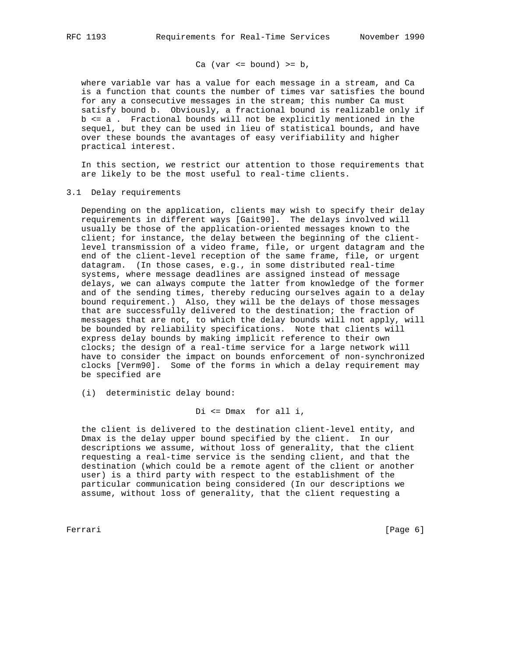Ca (var  $\le$  bound)  $\ge$  b,

 where variable var has a value for each message in a stream, and Ca is a function that counts the number of times var satisfies the bound for any a consecutive messages in the stream; this number Ca must satisfy bound b. Obviously, a fractional bound is realizable only if b <= a . Fractional bounds will not be explicitly mentioned in the sequel, but they can be used in lieu of statistical bounds, and have over these bounds the avantages of easy verifiability and higher practical interest.

 In this section, we restrict our attention to those requirements that are likely to be the most useful to real-time clients.

#### 3.1 Delay requirements

 Depending on the application, clients may wish to specify their delay requirements in different ways [Gait90]. The delays involved will usually be those of the application-oriented messages known to the client; for instance, the delay between the beginning of the client level transmission of a video frame, file, or urgent datagram and the end of the client-level reception of the same frame, file, or urgent datagram. (In those cases, e.g., in some distributed real-time systems, where message deadlines are assigned instead of message delays, we can always compute the latter from knowledge of the former and of the sending times, thereby reducing ourselves again to a delay bound requirement.) Also, they will be the delays of those messages that are successfully delivered to the destination; the fraction of messages that are not, to which the delay bounds will not apply, will be bounded by reliability specifications. Note that clients will express delay bounds by making implicit reference to their own clocks; the design of a real-time service for a large network will have to consider the impact on bounds enforcement of non-synchronized clocks [Verm90]. Some of the forms in which a delay requirement may be specified are

(i) deterministic delay bound:

Di <= Dmax for all i,

 the client is delivered to the destination client-level entity, and Dmax is the delay upper bound specified by the client. In our descriptions we assume, without loss of generality, that the client requesting a real-time service is the sending client, and that the destination (which could be a remote agent of the client or another user) is a third party with respect to the establishment of the particular communication being considered (In our descriptions we assume, without loss of generality, that the client requesting a

Ferrari [Page 6]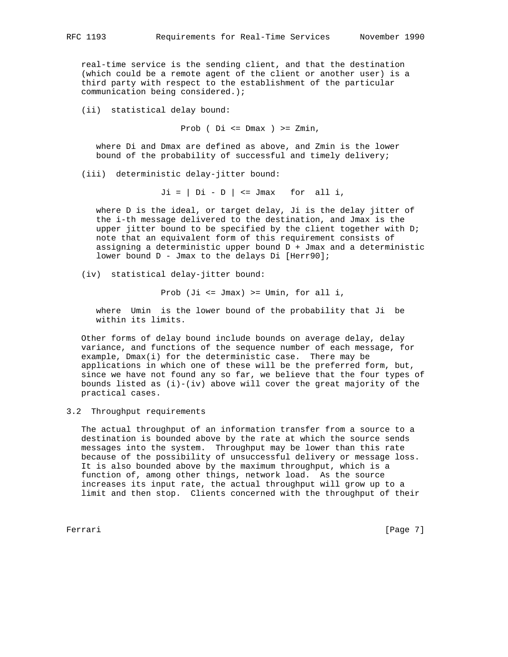real-time service is the sending client, and that the destination (which could be a remote agent of the client or another user) is a third party with respect to the establishment of the particular communication being considered.);

(ii) statistical delay bound:

Prob ( $Di \leq Dmax$ ) >= Zmin,

 where Di and Dmax are defined as above, and Zmin is the lower bound of the probability of successful and timely delivery;

(iii) deterministic delay-jitter bound:

 $Ji = | Di - D | \leq Jmax$  for all i,

 where D is the ideal, or target delay, Ji is the delay jitter of the i-th message delivered to the destination, and Jmax is the upper jitter bound to be specified by the client together with D; note that an equivalent form of this requirement consists of assigning a deterministic upper bound D + Jmax and a deterministic lower bound D - Jmax to the delays Di [Herr90];

(iv) statistical delay-jitter bound:

Prob  $(Ji \leq Jmax) >= Umin, for all i,$ 

 where Umin is the lower bound of the probability that Ji be within its limits.

 Other forms of delay bound include bounds on average delay, delay variance, and functions of the sequence number of each message, for example, Dmax(i) for the deterministic case. There may be applications in which one of these will be the preferred form, but, since we have not found any so far, we believe that the four types of bounds listed as  $(i)-(iv)$  above will cover the great majority of the practical cases.

3.2 Throughput requirements

 The actual throughput of an information transfer from a source to a destination is bounded above by the rate at which the source sends messages into the system. Throughput may be lower than this rate because of the possibility of unsuccessful delivery or message loss. It is also bounded above by the maximum throughput, which is a function of, among other things, network load. As the source increases its input rate, the actual throughput will grow up to a limit and then stop. Clients concerned with the throughput of their

Ferrari [Page 7]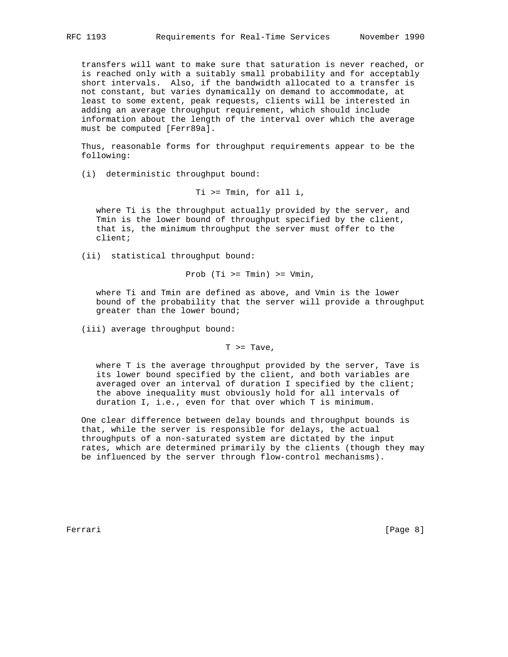transfers will want to make sure that saturation is never reached, or is reached only with a suitably small probability and for acceptably short intervals. Also, if the bandwidth allocated to a transfer is not constant, but varies dynamically on demand to accommodate, at least to some extent, peak requests, clients will be interested in adding an average throughput requirement, which should include information about the length of the interval over which the average must be computed [Ferr89a].

 Thus, reasonable forms for throughput requirements appear to be the following:

(i) deterministic throughput bound:

Ti >= Tmin, for all i,

 where Ti is the throughput actually provided by the server, and Tmin is the lower bound of throughput specified by the client, that is, the minimum throughput the server must offer to the client;

(ii) statistical throughput bound:

Prob (Ti >= Tmin) >= Vmin,

 where Ti and Tmin are defined as above, and Vmin is the lower bound of the probability that the server will provide a throughput greater than the lower bound;

(iii) average throughput bound:

 $T$  >= Tave,

 where T is the average throughput provided by the server, Tave is its lower bound specified by the client, and both variables are averaged over an interval of duration I specified by the client; the above inequality must obviously hold for all intervals of duration I, i.e., even for that over which T is minimum.

 One clear difference between delay bounds and throughput bounds is that, while the server is responsible for delays, the actual throughputs of a non-saturated system are dictated by the input rates, which are determined primarily by the clients (though they may be influenced by the server through flow-control mechanisms).

Ferrari [Page 8]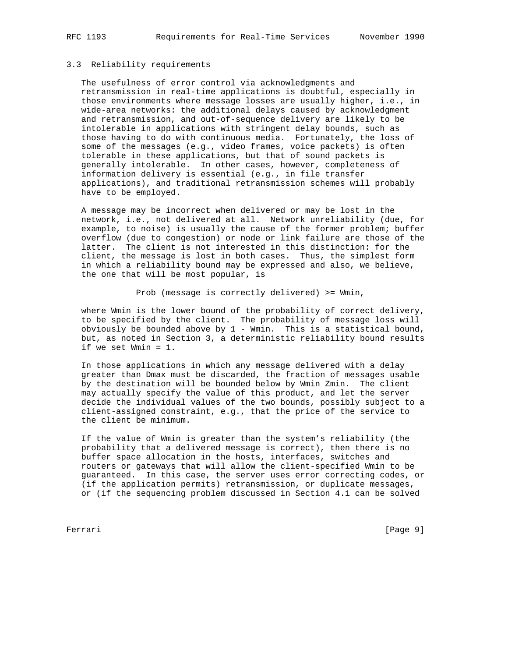# 3.3 Reliability requirements

 The usefulness of error control via acknowledgments and retransmission in real-time applications is doubtful, especially in those environments where message losses are usually higher, i.e., in wide-area networks: the additional delays caused by acknowledgment and retransmission, and out-of-sequence delivery are likely to be intolerable in applications with stringent delay bounds, such as those having to do with continuous media. Fortunately, the loss of some of the messages (e.g., video frames, voice packets) is often tolerable in these applications, but that of sound packets is generally intolerable. In other cases, however, completeness of information delivery is essential (e.g., in file transfer applications), and traditional retransmission schemes will probably have to be employed.

 A message may be incorrect when delivered or may be lost in the network, i.e., not delivered at all. Network unreliability (due, for example, to noise) is usually the cause of the former problem; buffer overflow (due to congestion) or node or link failure are those of the latter. The client is not interested in this distinction: for the client, the message is lost in both cases. Thus, the simplest form in which a reliability bound may be expressed and also, we believe, the one that will be most popular, is

Prob (message is correctly delivered) >= Wmin,

 where Wmin is the lower bound of the probability of correct delivery, to be specified by the client. The probability of message loss will obviously be bounded above by  $1$  - Wmin. This is a statistical bound, but, as noted in Section 3, a deterministic reliability bound results if we set Wmin = 1.

 In those applications in which any message delivered with a delay greater than Dmax must be discarded, the fraction of messages usable by the destination will be bounded below by Wmin Zmin. The client may actually specify the value of this product, and let the server decide the individual values of the two bounds, possibly subject to a client-assigned constraint, e.g., that the price of the service to the client be minimum.

 If the value of Wmin is greater than the system's reliability (the probability that a delivered message is correct), then there is no buffer space allocation in the hosts, interfaces, switches and routers or gateways that will allow the client-specified Wmin to be guaranteed. In this case, the server uses error correcting codes, or (if the application permits) retransmission, or duplicate messages, or (if the sequencing problem discussed in Section 4.1 can be solved

Ferrari [Page 9]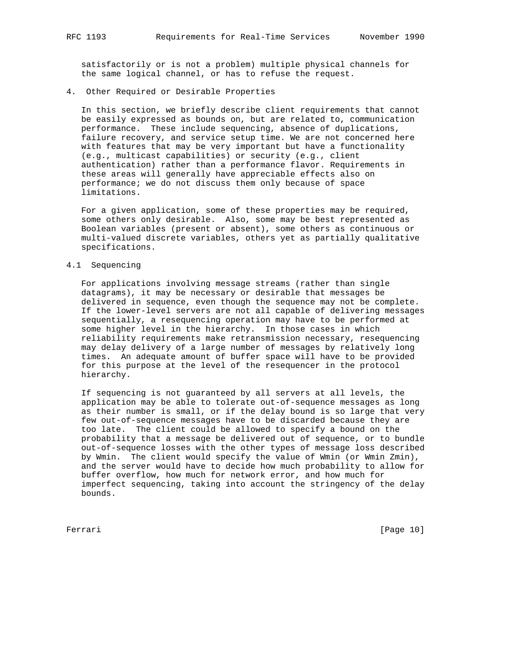satisfactorily or is not a problem) multiple physical channels for the same logical channel, or has to refuse the request.

4. Other Required or Desirable Properties

 In this section, we briefly describe client requirements that cannot be easily expressed as bounds on, but are related to, communication performance. These include sequencing, absence of duplications, failure recovery, and service setup time. We are not concerned here with features that may be very important but have a functionality (e.g., multicast capabilities) or security (e.g., client authentication) rather than a performance flavor. Requirements in these areas will generally have appreciable effects also on performance; we do not discuss them only because of space limitations.

 For a given application, some of these properties may be required, some others only desirable. Also, some may be best represented as Boolean variables (present or absent), some others as continuous or multi-valued discrete variables, others yet as partially qualitative specifications.

### 4.1 Sequencing

 For applications involving message streams (rather than single datagrams), it may be necessary or desirable that messages be delivered in sequence, even though the sequence may not be complete. If the lower-level servers are not all capable of delivering messages sequentially, a resequencing operation may have to be performed at some higher level in the hierarchy. In those cases in which reliability requirements make retransmission necessary, resequencing may delay delivery of a large number of messages by relatively long times. An adequate amount of buffer space will have to be provided for this purpose at the level of the resequencer in the protocol hierarchy.

 If sequencing is not guaranteed by all servers at all levels, the application may be able to tolerate out-of-sequence messages as long as their number is small, or if the delay bound is so large that very few out-of-sequence messages have to be discarded because they are too late. The client could be allowed to specify a bound on the probability that a message be delivered out of sequence, or to bundle out-of-sequence losses with the other types of message loss described by Wmin. The client would specify the value of Wmin (or Wmin Zmin), and the server would have to decide how much probability to allow for buffer overflow, how much for network error, and how much for imperfect sequencing, taking into account the stringency of the delay bounds.

Ferrari [Page 10]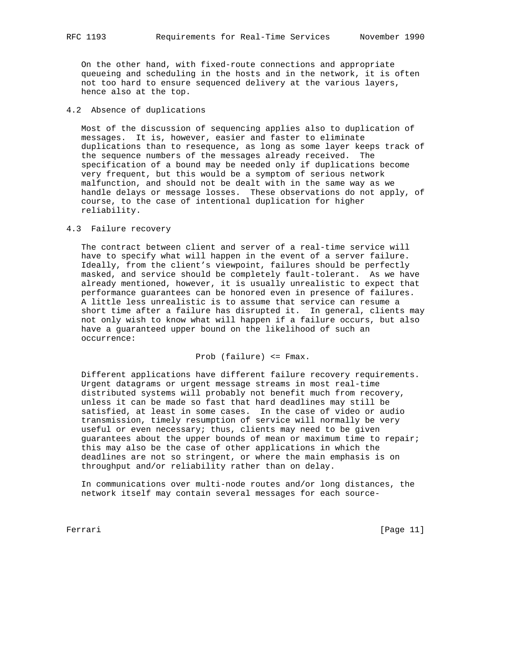On the other hand, with fixed-route connections and appropriate queueing and scheduling in the hosts and in the network, it is often not too hard to ensure sequenced delivery at the various layers, hence also at the top.

# 4.2 Absence of duplications

 Most of the discussion of sequencing applies also to duplication of messages. It is, however, easier and faster to eliminate duplications than to resequence, as long as some layer keeps track of the sequence numbers of the messages already received. The specification of a bound may be needed only if duplications become very frequent, but this would be a symptom of serious network malfunction, and should not be dealt with in the same way as we handle delays or message losses. These observations do not apply, of course, to the case of intentional duplication for higher reliability.

# 4.3 Failure recovery

 The contract between client and server of a real-time service will have to specify what will happen in the event of a server failure. Ideally, from the client's viewpoint, failures should be perfectly masked, and service should be completely fault-tolerant. As we have already mentioned, however, it is usually unrealistic to expect that performance guarantees can be honored even in presence of failures. A little less unrealistic is to assume that service can resume a short time after a failure has disrupted it. In general, clients may not only wish to know what will happen if a failure occurs, but also have a guaranteed upper bound on the likelihood of such an occurrence:

Prob (failure) <= Fmax.

 Different applications have different failure recovery requirements. Urgent datagrams or urgent message streams in most real-time distributed systems will probably not benefit much from recovery, unless it can be made so fast that hard deadlines may still be satisfied, at least in some cases. In the case of video or audio transmission, timely resumption of service will normally be very useful or even necessary; thus, clients may need to be given guarantees about the upper bounds of mean or maximum time to repair; this may also be the case of other applications in which the deadlines are not so stringent, or where the main emphasis is on throughput and/or reliability rather than on delay.

 In communications over multi-node routes and/or long distances, the network itself may contain several messages for each source-

Ferrari [Page 11]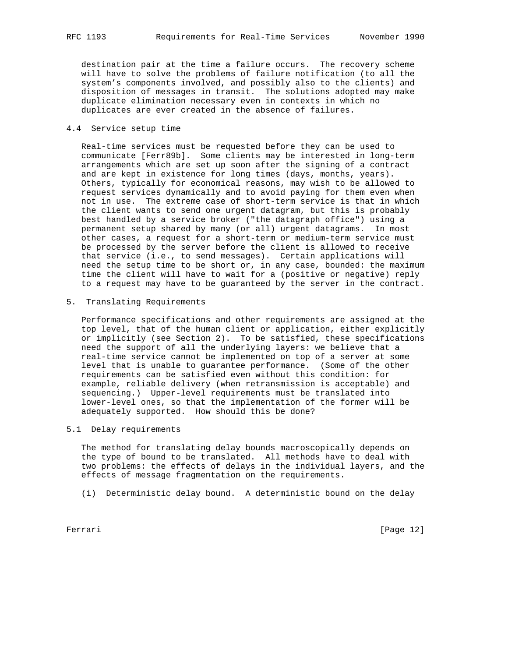destination pair at the time a failure occurs. The recovery scheme will have to solve the problems of failure notification (to all the system's components involved, and possibly also to the clients) and disposition of messages in transit. The solutions adopted may make duplicate elimination necessary even in contexts in which no duplicates are ever created in the absence of failures.

# 4.4 Service setup time

 Real-time services must be requested before they can be used to communicate [Ferr89b]. Some clients may be interested in long-term arrangements which are set up soon after the signing of a contract and are kept in existence for long times (days, months, years). Others, typically for economical reasons, may wish to be allowed to request services dynamically and to avoid paying for them even when not in use. The extreme case of short-term service is that in which the client wants to send one urgent datagram, but this is probably best handled by a service broker ("the datagraph office") using a permanent setup shared by many (or all) urgent datagrams. In most other cases, a request for a short-term or medium-term service must be processed by the server before the client is allowed to receive that service (i.e., to send messages). Certain applications will need the setup time to be short or, in any case, bounded: the maximum time the client will have to wait for a (positive or negative) reply to a request may have to be guaranteed by the server in the contract.

# 5. Translating Requirements

 Performance specifications and other requirements are assigned at the top level, that of the human client or application, either explicitly or implicitly (see Section 2). To be satisfied, these specifications need the support of all the underlying layers: we believe that a real-time service cannot be implemented on top of a server at some level that is unable to guarantee performance. (Some of the other requirements can be satisfied even without this condition: for example, reliable delivery (when retransmission is acceptable) and sequencing.) Upper-level requirements must be translated into lower-level ones, so that the implementation of the former will be adequately supported. How should this be done?

# 5.1 Delay requirements

 The method for translating delay bounds macroscopically depends on the type of bound to be translated. All methods have to deal with two problems: the effects of delays in the individual layers, and the effects of message fragmentation on the requirements.

(i) Deterministic delay bound. A deterministic bound on the delay

Ferrari [Page 12]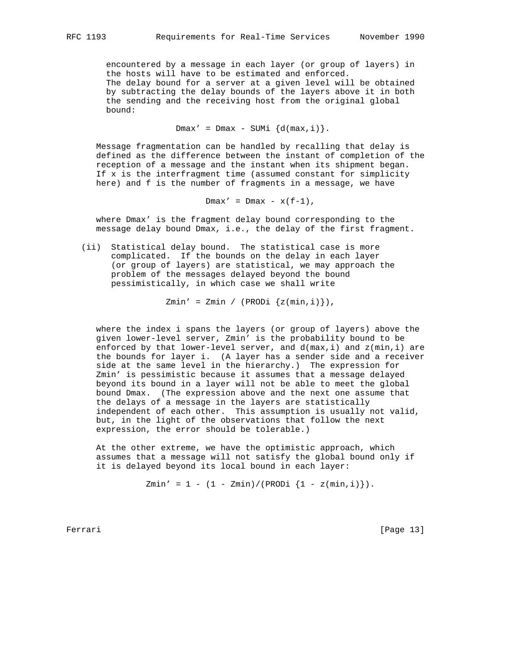encountered by a message in each layer (or group of layers) in the hosts will have to be estimated and enforced. The delay bound for a server at a given level will be obtained by subtracting the delay bounds of the layers above it in both the sending and the receiving host from the original global bound:

 $Dmax' = Dmax - SUMi \{d(max, i)\}.$ 

 Message fragmentation can be handled by recalling that delay is defined as the difference between the instant of completion of the reception of a message and the instant when its shipment began. If x is the interfragment time (assumed constant for simplicity here) and f is the number of fragments in a message, we have

 $Dmax' = Dmax - x(f-1)$ ,

 where Dmax' is the fragment delay bound corresponding to the message delay bound Dmax, i.e., the delay of the first fragment.

 (ii) Statistical delay bound. The statistical case is more complicated. If the bounds on the delay in each layer (or group of layers) are statistical, we may approach the problem of the messages delayed beyond the bound pessimistically, in which case we shall write

 $Zmin' = Zmin / (PRODi {z(min,i)}),$ 

 where the index i spans the layers (or group of layers) above the given lower-level server, Zmin' is the probability bound to be enforced by that lower-level server, and  $d(max,i)$  and  $z(min,i)$  are the bounds for layer i. (A layer has a sender side and a receiver side at the same level in the hierarchy.) The expression for Zmin' is pessimistic because it assumes that a message delayed beyond its bound in a layer will not be able to meet the global bound Dmax. (The expression above and the next one assume that the delays of a message in the layers are statistically independent of each other. This assumption is usually not valid, but, in the light of the observations that follow the next expression, the error should be tolerable.)

 At the other extreme, we have the optimistic approach, which assumes that a message will not satisfy the global bound only if it is delayed beyond its local bound in each layer:

 $Zmin' = 1 - (1 - Zmin) / (PRODi \{1 - z(min, i)\}).$ 

Ferrari [Page 13]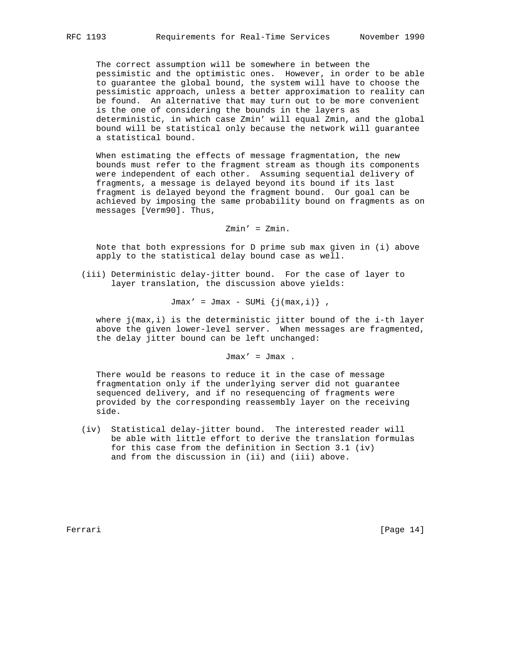The correct assumption will be somewhere in between the pessimistic and the optimistic ones. However, in order to be able to guarantee the global bound, the system will have to choose the pessimistic approach, unless a better approximation to reality can be found. An alternative that may turn out to be more convenient is the one of considering the bounds in the layers as deterministic, in which case Zmin' will equal Zmin, and the global bound will be statistical only because the network will guarantee a statistical bound.

 When estimating the effects of message fragmentation, the new bounds must refer to the fragment stream as though its components were independent of each other. Assuming sequential delivery of fragments, a message is delayed beyond its bound if its last fragment is delayed beyond the fragment bound. Our goal can be achieved by imposing the same probability bound on fragments as on messages [Verm90]. Thus,

Zmin' = Zmin.

 Note that both expressions for D prime sub max given in (i) above apply to the statistical delay bound case as well.

 (iii) Deterministic delay-jitter bound. For the case of layer to layer translation, the discussion above yields:

 $Jmax' = Jmax - SUMi$  { $j(max,i)$ },

where  $j(max,i)$  is the deterministic jitter bound of the i-th layer above the given lower-level server. When messages are fragmented, the delay jitter bound can be left unchanged:

Jmax' = Jmax .

 There would be reasons to reduce it in the case of message fragmentation only if the underlying server did not guarantee sequenced delivery, and if no resequencing of fragments were provided by the corresponding reassembly layer on the receiving side.

 (iv) Statistical delay-jitter bound. The interested reader will be able with little effort to derive the translation formulas for this case from the definition in Section 3.1 (iv) and from the discussion in (ii) and (iii) above.

Ferrari [Page 14]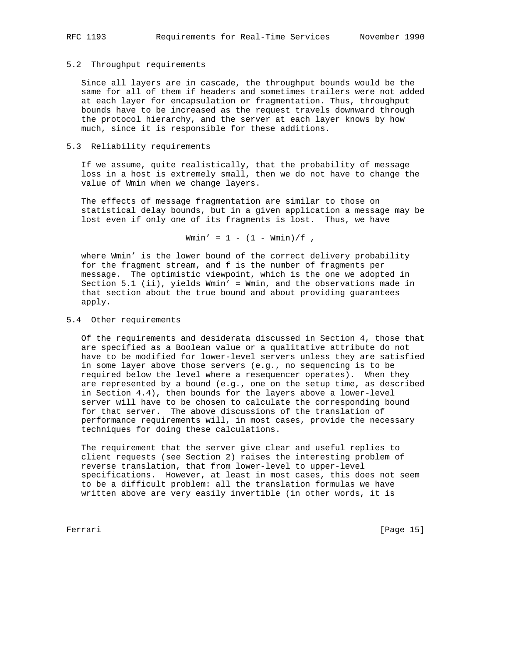#### 5.2 Throughput requirements

 Since all layers are in cascade, the throughput bounds would be the same for all of them if headers and sometimes trailers were not added at each layer for encapsulation or fragmentation. Thus, throughput bounds have to be increased as the request travels downward through the protocol hierarchy, and the server at each layer knows by how much, since it is responsible for these additions.

# 5.3 Reliability requirements

 If we assume, quite realistically, that the probability of message loss in a host is extremely small, then we do not have to change the value of Wmin when we change layers.

 The effects of message fragmentation are similar to those on statistical delay bounds, but in a given application a message may be lost even if only one of its fragments is lost. Thus, we have

$$
Wmin' = 1 - (1 - Wmin)/f ,
$$

 where Wmin' is the lower bound of the correct delivery probability for the fragment stream, and f is the number of fragments per message. The optimistic viewpoint, which is the one we adopted in Section 5.1 (ii), yields Wmin' = Wmin, and the observations made in that section about the true bound and about providing guarantees apply.

### 5.4 Other requirements

 Of the requirements and desiderata discussed in Section 4, those that are specified as a Boolean value or a qualitative attribute do not have to be modified for lower-level servers unless they are satisfied in some layer above those servers (e.g., no sequencing is to be required below the level where a resequencer operates). When they are represented by a bound (e.g., one on the setup time, as described in Section 4.4), then bounds for the layers above a lower-level server will have to be chosen to calculate the corresponding bound for that server. The above discussions of the translation of performance requirements will, in most cases, provide the necessary techniques for doing these calculations.

 The requirement that the server give clear and useful replies to client requests (see Section 2) raises the interesting problem of reverse translation, that from lower-level to upper-level specifications. However, at least in most cases, this does not seem to be a difficult problem: all the translation formulas we have written above are very easily invertible (in other words, it is

Ferrari [Page 15]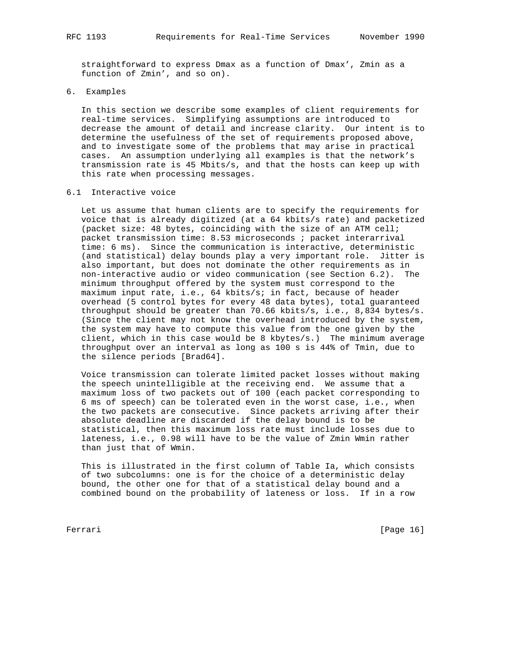straightforward to express Dmax as a function of Dmax', Zmin as a function of Zmin', and so on).

6. Examples

 In this section we describe some examples of client requirements for real-time services. Simplifying assumptions are introduced to decrease the amount of detail and increase clarity. Our intent is to determine the usefulness of the set of requirements proposed above, and to investigate some of the problems that may arise in practical cases. An assumption underlying all examples is that the network's transmission rate is 45 Mbits/s, and that the hosts can keep up with this rate when processing messages.

# 6.1 Interactive voice

 Let us assume that human clients are to specify the requirements for voice that is already digitized (at a 64 kbits/s rate) and packetized (packet size: 48 bytes, coinciding with the size of an ATM cell; packet transmission time: 8.53 microseconds ; packet interarrival time: 6 ms). Since the communication is interactive, deterministic (and statistical) delay bounds play a very important role. Jitter is also important, but does not dominate the other requirements as in non-interactive audio or video communication (see Section 6.2). The minimum throughput offered by the system must correspond to the maximum input rate, i.e., 64 kbits/s; in fact, because of header overhead (5 control bytes for every 48 data bytes), total guaranteed throughput should be greater than 70.66 kbits/s, i.e., 8,834 bytes/s. (Since the client may not know the overhead introduced by the system, the system may have to compute this value from the one given by the client, which in this case would be 8 kbytes/s.) The minimum average throughput over an interval as long as 100 s is 44% of Tmin, due to the silence periods [Brad64].

 Voice transmission can tolerate limited packet losses without making the speech unintelligible at the receiving end. We assume that a maximum loss of two packets out of 100 (each packet corresponding to 6 ms of speech) can be tolerated even in the worst case, i.e., when the two packets are consecutive. Since packets arriving after their absolute deadline are discarded if the delay bound is to be statistical, then this maximum loss rate must include losses due to lateness, i.e., 0.98 will have to be the value of Zmin Wmin rather than just that of Wmin.

 This is illustrated in the first column of Table Ia, which consists of two subcolumns: one is for the choice of a deterministic delay bound, the other one for that of a statistical delay bound and a combined bound on the probability of lateness or loss. If in a row

Ferrari [Page 16]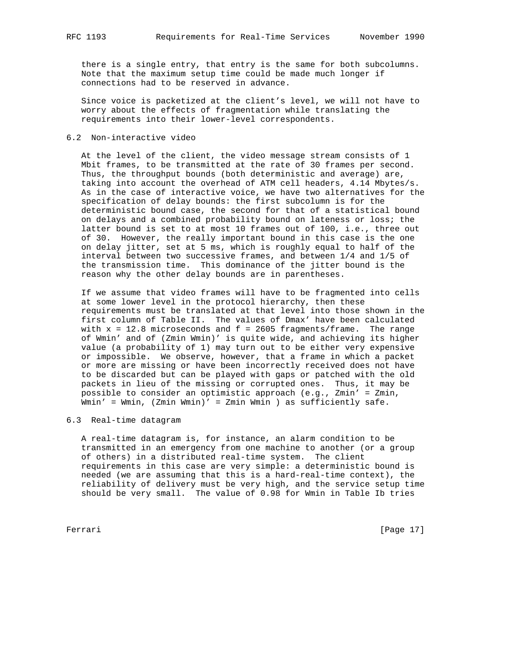there is a single entry, that entry is the same for both subcolumns. Note that the maximum setup time could be made much longer if connections had to be reserved in advance.

 Since voice is packetized at the client's level, we will not have to worry about the effects of fragmentation while translating the requirements into their lower-level correspondents.

### 6.2 Non-interactive video

 At the level of the client, the video message stream consists of 1 Mbit frames, to be transmitted at the rate of 30 frames per second. Thus, the throughput bounds (both deterministic and average) are, taking into account the overhead of ATM cell headers, 4.14 Mbytes/s. As in the case of interactive voice, we have two alternatives for the specification of delay bounds: the first subcolumn is for the deterministic bound case, the second for that of a statistical bound on delays and a combined probability bound on lateness or loss; the latter bound is set to at most 10 frames out of 100, i.e., three out of 30. However, the really important bound in this case is the one on delay jitter, set at 5 ms, which is roughly equal to half of the interval between two successive frames, and between 1/4 and 1/5 of the transmission time. This dominance of the jitter bound is the reason why the other delay bounds are in parentheses.

 If we assume that video frames will have to be fragmented into cells at some lower level in the protocol hierarchy, then these requirements must be translated at that level into those shown in the first column of Table II. The values of Dmax' have been calculated with  $x = 12.8$  microseconds and  $f = 2605$  fragments/frame. The range of Wmin' and of (Zmin Wmin)' is quite wide, and achieving its higher value (a probability of 1) may turn out to be either very expensive or impossible. We observe, however, that a frame in which a packet or more are missing or have been incorrectly received does not have to be discarded but can be played with gaps or patched with the old packets in lieu of the missing or corrupted ones. Thus, it may be possible to consider an optimistic approach (e.g., Zmin' = Zmin, Wmin' = Wmin, (Zmin Wmin)' = Zmin Wmin ) as sufficiently safe.

# 6.3 Real-time datagram

 A real-time datagram is, for instance, an alarm condition to be transmitted in an emergency from one machine to another (or a group of others) in a distributed real-time system. The client requirements in this case are very simple: a deterministic bound is needed (we are assuming that this is a hard-real-time context), the reliability of delivery must be very high, and the service setup time should be very small. The value of 0.98 for Wmin in Table Ib tries

Ferrari [Page 17]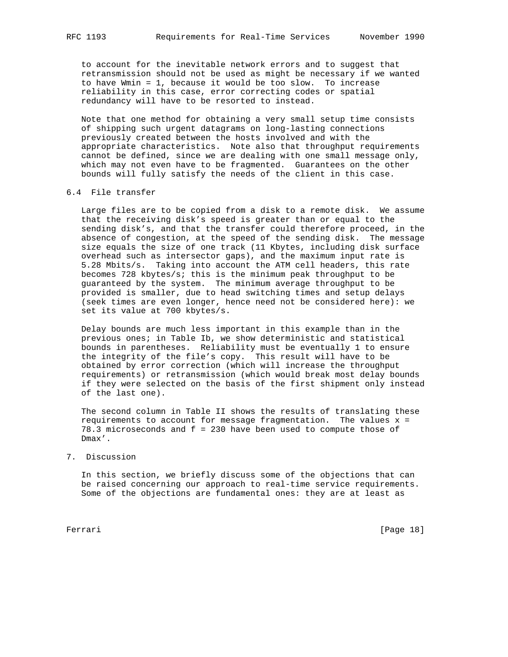to account for the inevitable network errors and to suggest that retransmission should not be used as might be necessary if we wanted to have Wmin = 1, because it would be too slow. To increase reliability in this case, error correcting codes or spatial redundancy will have to be resorted to instead.

 Note that one method for obtaining a very small setup time consists of shipping such urgent datagrams on long-lasting connections previously created between the hosts involved and with the appropriate characteristics. Note also that throughput requirements cannot be defined, since we are dealing with one small message only, which may not even have to be fragmented. Guarantees on the other bounds will fully satisfy the needs of the client in this case.

# 6.4 File transfer

 Large files are to be copied from a disk to a remote disk. We assume that the receiving disk's speed is greater than or equal to the sending disk's, and that the transfer could therefore proceed, in the absence of congestion, at the speed of the sending disk. The message size equals the size of one track (11 Kbytes, including disk surface overhead such as intersector gaps), and the maximum input rate is 5.28 Mbits/s. Taking into account the ATM cell headers, this rate becomes 728 kbytes/s; this is the minimum peak throughput to be guaranteed by the system. The minimum average throughput to be provided is smaller, due to head switching times and setup delays (seek times are even longer, hence need not be considered here): we set its value at 700 kbytes/s.

 Delay bounds are much less important in this example than in the previous ones; in Table Ib, we show deterministic and statistical bounds in parentheses. Reliability must be eventually 1 to ensure the integrity of the file's copy. This result will have to be obtained by error correction (which will increase the throughput requirements) or retransmission (which would break most delay bounds if they were selected on the basis of the first shipment only instead of the last one).

 The second column in Table II shows the results of translating these requirements to account for message fragmentation. The values  $x =$  78.3 microseconds and f = 230 have been used to compute those of Dmax'.

# 7. Discussion

 In this section, we briefly discuss some of the objections that can be raised concerning our approach to real-time service requirements. Some of the objections are fundamental ones: they are at least as

Ferrari [Page 18]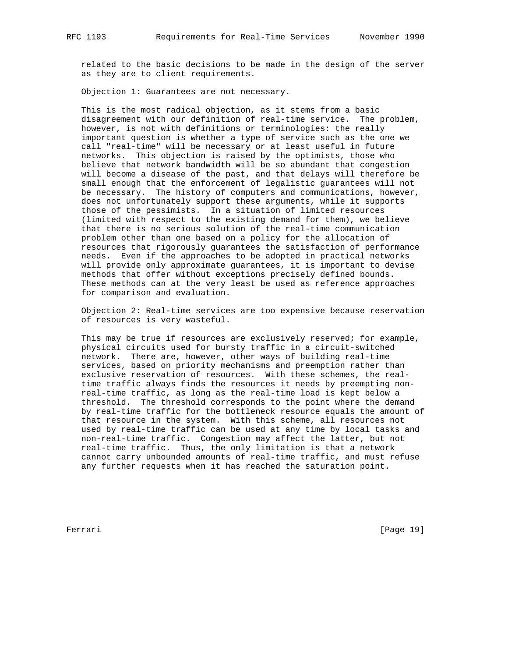related to the basic decisions to be made in the design of the server as they are to client requirements.

Objection 1: Guarantees are not necessary.

 This is the most radical objection, as it stems from a basic disagreement with our definition of real-time service. The problem, however, is not with definitions or terminologies: the really important question is whether a type of service such as the one we call "real-time" will be necessary or at least useful in future networks. This objection is raised by the optimists, those who believe that network bandwidth will be so abundant that congestion will become a disease of the past, and that delays will therefore be small enough that the enforcement of legalistic guarantees will not be necessary. The history of computers and communications, however, does not unfortunately support these arguments, while it supports those of the pessimists. In a situation of limited resources (limited with respect to the existing demand for them), we believe that there is no serious solution of the real-time communication problem other than one based on a policy for the allocation of resources that rigorously guarantees the satisfaction of performance needs. Even if the approaches to be adopted in practical networks will provide only approximate guarantees, it is important to devise methods that offer without exceptions precisely defined bounds. These methods can at the very least be used as reference approaches for comparison and evaluation.

 Objection 2: Real-time services are too expensive because reservation of resources is very wasteful.

 This may be true if resources are exclusively reserved; for example, physical circuits used for bursty traffic in a circuit-switched network. There are, however, other ways of building real-time services, based on priority mechanisms and preemption rather than exclusive reservation of resources. With these schemes, the real time traffic always finds the resources it needs by preempting non real-time traffic, as long as the real-time load is kept below a threshold. The threshold corresponds to the point where the demand by real-time traffic for the bottleneck resource equals the amount of that resource in the system. With this scheme, all resources not used by real-time traffic can be used at any time by local tasks and non-real-time traffic. Congestion may affect the latter, but not real-time traffic. Thus, the only limitation is that a network cannot carry unbounded amounts of real-time traffic, and must refuse any further requests when it has reached the saturation point.

Ferrari [Page 19]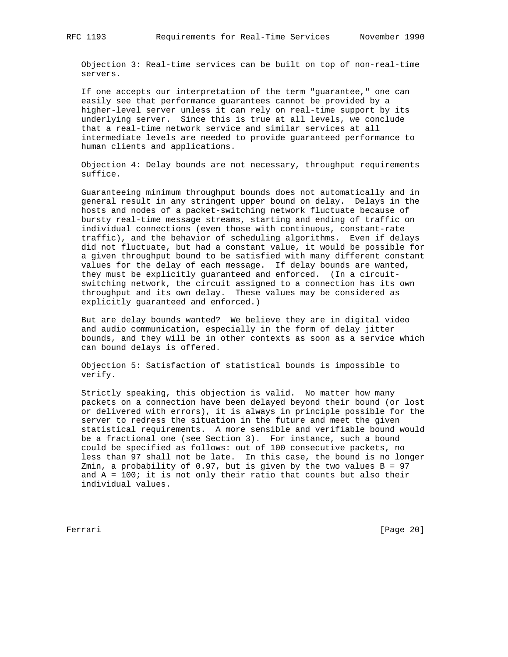Objection 3: Real-time services can be built on top of non-real-time servers.

 If one accepts our interpretation of the term "guarantee," one can easily see that performance guarantees cannot be provided by a higher-level server unless it can rely on real-time support by its underlying server. Since this is true at all levels, we conclude that a real-time network service and similar services at all intermediate levels are needed to provide guaranteed performance to human clients and applications.

 Objection 4: Delay bounds are not necessary, throughput requirements suffice.

 Guaranteeing minimum throughput bounds does not automatically and in general result in any stringent upper bound on delay. Delays in the hosts and nodes of a packet-switching network fluctuate because of bursty real-time message streams, starting and ending of traffic on individual connections (even those with continuous, constant-rate traffic), and the behavior of scheduling algorithms. Even if delays did not fluctuate, but had a constant value, it would be possible for a given throughput bound to be satisfied with many different constant values for the delay of each message. If delay bounds are wanted, they must be explicitly guaranteed and enforced. (In a circuit switching network, the circuit assigned to a connection has its own throughput and its own delay. These values may be considered as explicitly guaranteed and enforced.)

 But are delay bounds wanted? We believe they are in digital video and audio communication, especially in the form of delay jitter bounds, and they will be in other contexts as soon as a service which can bound delays is offered.

 Objection 5: Satisfaction of statistical bounds is impossible to verify.

 Strictly speaking, this objection is valid. No matter how many packets on a connection have been delayed beyond their bound (or lost or delivered with errors), it is always in principle possible for the server to redress the situation in the future and meet the given statistical requirements. A more sensible and verifiable bound would be a fractional one (see Section 3). For instance, such a bound could be specified as follows: out of 100 consecutive packets, no less than 97 shall not be late. In this case, the bound is no longer Zmin, a probability of 0.97, but is given by the two values B = 97 and  $A = 100$ ; it is not only their ratio that counts but also their individual values.

Ferrari [Page 20]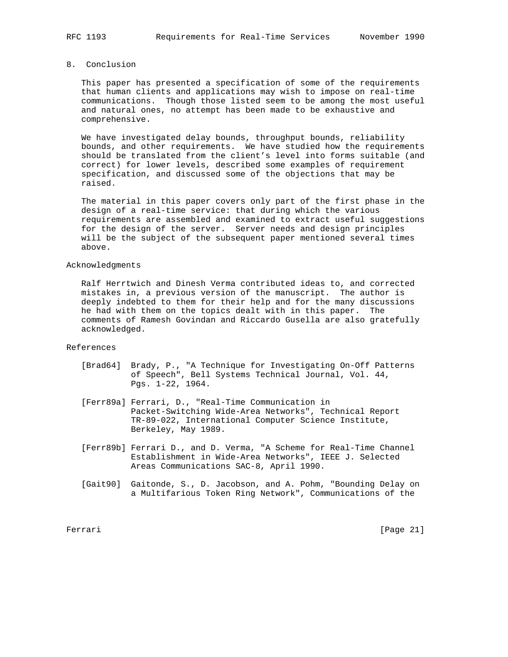# 8. Conclusion

 This paper has presented a specification of some of the requirements that human clients and applications may wish to impose on real-time communications. Though those listed seem to be among the most useful and natural ones, no attempt has been made to be exhaustive and comprehensive.

 We have investigated delay bounds, throughput bounds, reliability bounds, and other requirements. We have studied how the requirements should be translated from the client's level into forms suitable (and correct) for lower levels, described some examples of requirement specification, and discussed some of the objections that may be raised.

 The material in this paper covers only part of the first phase in the design of a real-time service: that during which the various requirements are assembled and examined to extract useful suggestions for the design of the server. Server needs and design principles will be the subject of the subsequent paper mentioned several times above.

# Acknowledgments

 Ralf Herrtwich and Dinesh Verma contributed ideas to, and corrected mistakes in, a previous version of the manuscript. The author is deeply indebted to them for their help and for the many discussions he had with them on the topics dealt with in this paper. The comments of Ramesh Govindan and Riccardo Gusella are also gratefully acknowledged.

#### References

- [Brad64] Brady, P., "A Technique for Investigating On-Off Patterns of Speech", Bell Systems Technical Journal, Vol. 44, Pgs. 1-22, 1964.
- [Ferr89a] Ferrari, D., "Real-Time Communication in Packet-Switching Wide-Area Networks", Technical Report TR-89-022, International Computer Science Institute, Berkeley, May 1989.
- [Ferr89b] Ferrari D., and D. Verma, "A Scheme for Real-Time Channel Establishment in Wide-Area Networks", IEEE J. Selected Areas Communications SAC-8, April 1990.
- [Gait90] Gaitonde, S., D. Jacobson, and A. Pohm, "Bounding Delay on a Multifarious Token Ring Network", Communications of the

Ferrari [Page 21]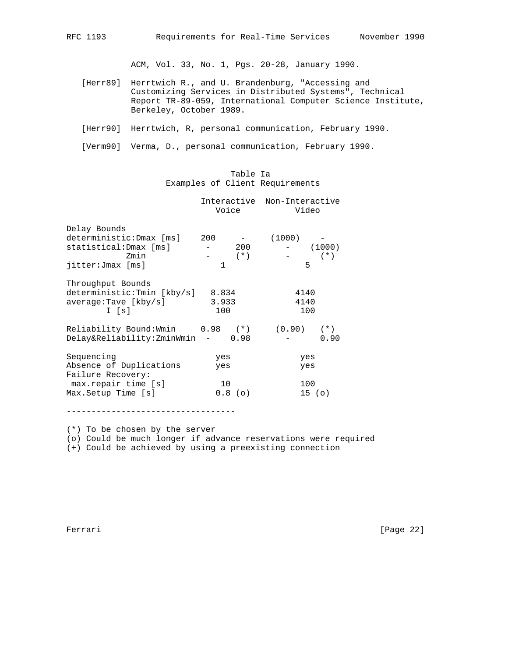ACM, Vol. 33, No. 1, Pgs. 20-28, January 1990.

- [Herr89] Herrtwich R., and U. Brandenburg, "Accessing and Customizing Services in Distributed Systems", Technical Report TR-89-059, International Computer Science Institute, Berkeley, October 1989.
- [Herr90] Herrtwich, R, personal communication, February 1990.

[Verm90] Verma, D., personal communication, February 1990.

 Table Ia Examples of Client Requirements

|                                                                                               | Voice                 |               | Interactive Non-Interactive<br>Video |                           |
|-----------------------------------------------------------------------------------------------|-----------------------|---------------|--------------------------------------|---------------------------|
| Delay Bounds<br>deterministic:Dmax [ms]<br>statistical: Dmax [ms]<br>Zmin<br>jitter:Jmax [ms] | 200<br>1              | 200<br>$(* )$ | (1000)                               | $-$ (1000)<br>$(* )$<br>5 |
| Throughput Bounds<br>deterministic:Tmin [kby/s]<br>$average: \text{Take } [kby/s]$<br>$I$ [s] | 8.834<br>3.933<br>100 |               | 4140<br>4140<br>100                  |                           |
| Reliability Bound:Wmin 0.98 (*)<br>Delay&Reliability:ZminWmin -                               |                       | 0.98          | $(0.90)$ $(*)$                       | 0.90                      |
| Sequencing<br>Absence of Duplications<br>Failure Recovery:<br>max.repair time [s]             | yes<br>yes<br>1 O     |               | yes<br>yes<br>100                    |                           |
| Max. Setup Time [s]                                                                           | $0.8$ (o)             |               | 15(0)                                |                           |

----------------------------------

(\*) To be chosen by the server

(o) Could be much longer if advance reservations were required

(+) Could be achieved by using a preexisting connection

Ferrari [Page 22]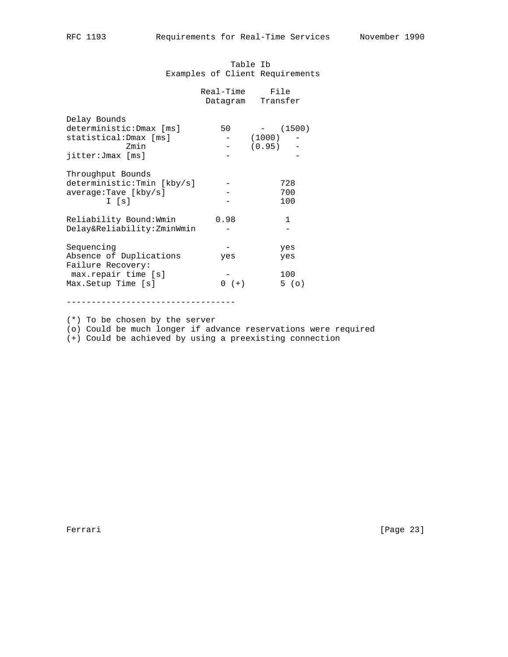# Table Ib Examples of Client Requirements

|                                                                                                 | Real-Time<br>Dataqram |                            |
|-------------------------------------------------------------------------------------------------|-----------------------|----------------------------|
| Delay Bounds<br>deterministic: Dmax [ms]<br>statistical: Dmax [ms]<br>Zmin<br>jitter: Jmax [ms] | 50                    | (1500)<br>(1000)<br>(0.95) |
| Throughput Bounds<br>deterministic:Tmin [kby/s]<br>$average: \text{Take } [kby/s]$<br>$I$ [s]   |                       | 728<br>700<br>100          |
| Reliability Bound: Wmin<br>Delay&Reliability:ZminWmin                                           | 0.98                  | 1                          |
| Sequencing<br>Absence of Duplications<br>Failure Recovery:<br>max.repair time [s]               | yes                   | yes<br>yes<br>100          |
| Max.Setup Time [s]                                                                              | $0 (+)$               | 5(0)                       |

----------------------------------

(\*) To be chosen by the server

(o) Could be much longer if advance reservations were required

(+) Could be achieved by using a preexisting connection

Ferrari [Page 23]